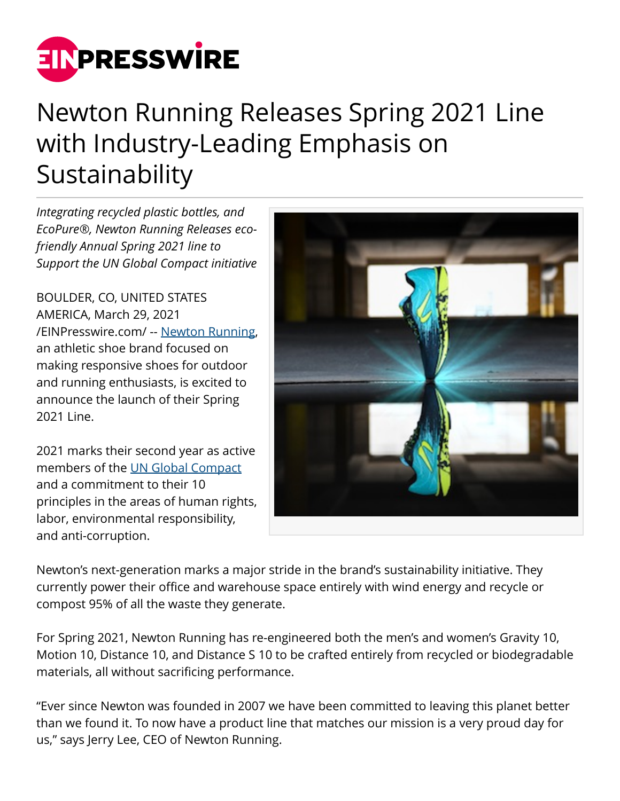

## Newton Running Releases Spring 2021 Line with Industry-Leading Emphasis on Sustainability

*Integrating recycled plastic bottles, and EcoPure®, Newton Running Releases ecofriendly Annual Spring 2021 line to Support the UN Global Compact initiative*

BOULDER, CO, UNITED STATES AMERICA, March 29, 2021 [/EINPresswire.com/](http://www.einpresswire.com) -- [Newton Running](https://www.newtonrunning.com/), an athletic shoe brand focused on making responsive shoes for outdoor and running enthusiasts, is excited to announce the launch of their Spring 2021 Line.

2021 marks their second year as active members of the [UN Global Compact](https://www.unglobalcompact.org/what-is-gc/mission/principles) and a commitment to their 10 principles in the areas of human rights, labor, environmental responsibility, and anti-corruption.



Newton's next-generation marks a major stride in the brand's sustainability initiative. They currently power their office and warehouse space entirely with wind energy and recycle or compost 95% of all the waste they generate.

For Spring 2021, Newton Running has re-engineered both the men's and women's Gravity 10, Motion 10, Distance 10, and Distance S 10 to be crafted entirely from recycled or biodegradable materials, all without sacrificing performance.

"Ever since Newton was founded in 2007 we have been committed to leaving this planet better than we found it. To now have a product line that matches our mission is a very proud day for us," says Jerry Lee, CEO of Newton Running.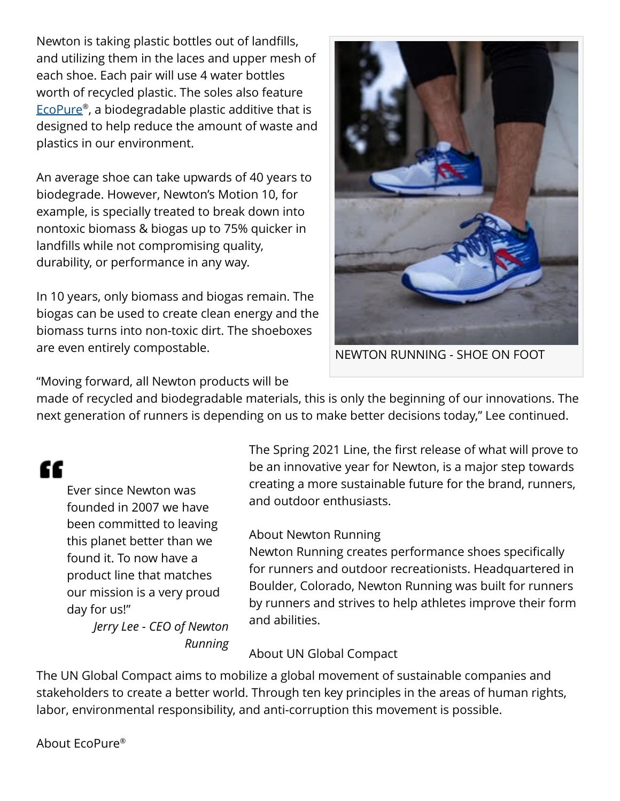Newton is taking plastic bottles out of landfills, and utilizing them in the laces and upper mesh of each shoe. Each pair will use 4 water bottles worth of recycled plastic. The soles also feature [EcoPure](https://www.goecopure.com/what-is-ecopure.aspx)® , a biodegradable plastic additive that is designed to help reduce the amount of waste and plastics in our environment.

An average shoe can take upwards of 40 years to biodegrade. However, Newton's Motion 10, for example, is specially treated to break down into nontoxic biomass & biogas up to 75% quicker in landfills while not compromising quality, durability, or performance in any way.

In 10 years, only biomass and biogas remain. The biogas can be used to create clean energy and the biomass turns into non-toxic dirt. The shoeboxes are even entirely compostable.



NEWTON RUNNING - SHOE ON FOOT

"Moving forward, all Newton products will be

made of recycled and biodegradable materials, this is only the beginning of our innovations. The next generation of runners is depending on us to make better decisions today," Lee continued.

## "

Ever since Newton was founded in 2007 we have been committed to leaving this planet better than we found it. To now have a product line that matches our mission is a very proud day for us!"

*Jerry Lee - CEO of Newton Running* The Spring 2021 Line, the first release of what will prove to be an innovative year for Newton, is a major step towards creating a more sustainable future for the brand, runners, and outdoor enthusiasts.

## About Newton Running

Newton Running creates performance shoes specifically for runners and outdoor recreationists. Headquartered in Boulder, Colorado, Newton Running was built for runners by runners and strives to help athletes improve their form and abilities.

## About UN Global Compact

The UN Global Compact aims to mobilize a global movement of sustainable companies and stakeholders to create a better world. Through ten key principles in the areas of human rights, labor, environmental responsibility, and anti-corruption this movement is possible.

About EcoPure®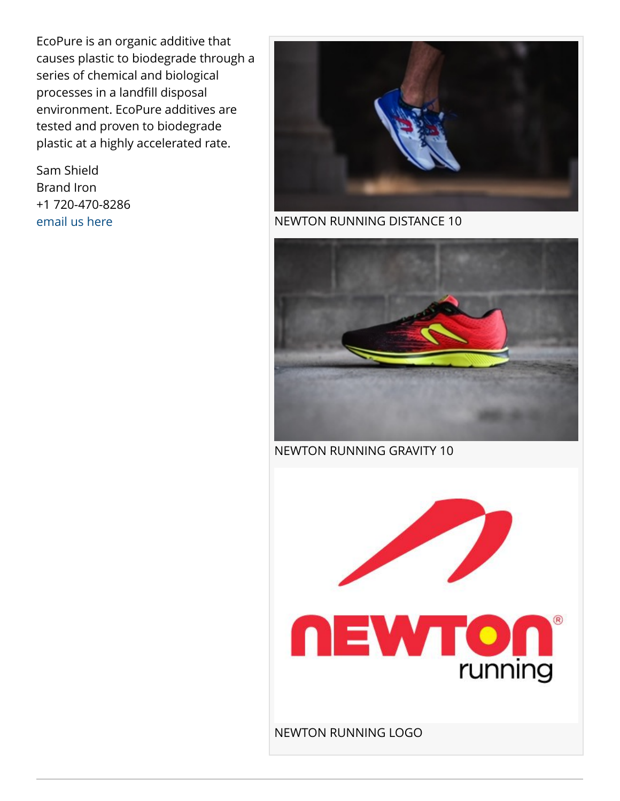EcoPure is an organic additive that causes plastic to biodegrade through a series of chemical and biological processes in a landfill disposal environment. EcoPure additives are tested and proven to biodegrade plastic at a highly accelerated rate.

Sam Shield Brand Iron +1 720-470-8286 [email us here](http://www.einpresswire.com/contact_author/3059856)



NEWTON RUNNING DISTANCE 10



NEWTON RUNNING GRAVITY 10



NEWTON RUNNING LOGO